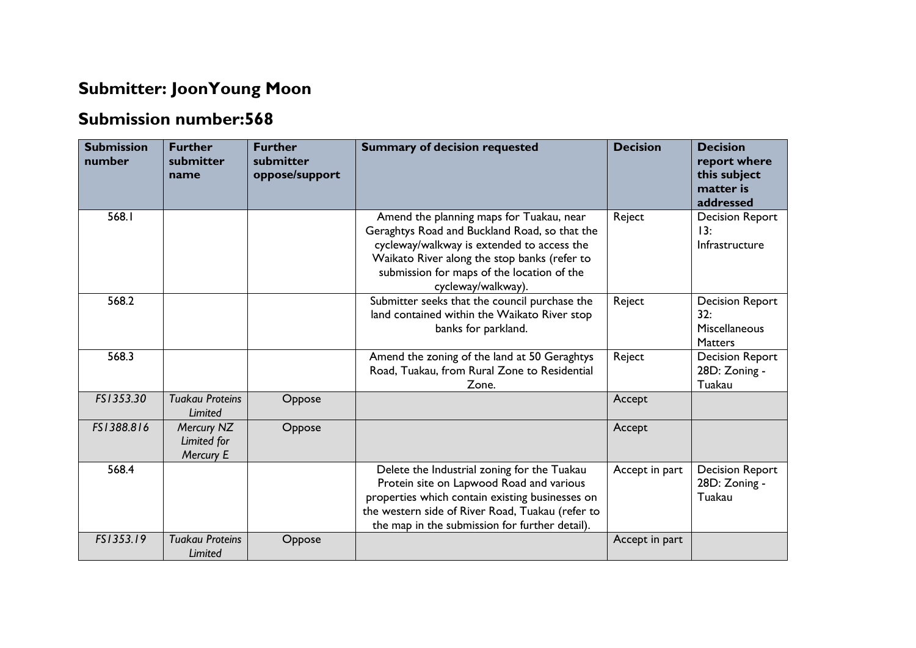## **Submitter: JoonYoung Moon**

## **Submission number:568**

| <b>Submission</b><br>number | <b>Further</b><br>submitter<br>name    | <b>Further</b><br>submitter<br>oppose/support | <b>Summary of decision requested</b>                                                                                                                                                                                                                        | <b>Decision</b> | <b>Decision</b><br>report where<br>this subject<br>matter is<br>addressed |
|-----------------------------|----------------------------------------|-----------------------------------------------|-------------------------------------------------------------------------------------------------------------------------------------------------------------------------------------------------------------------------------------------------------------|-----------------|---------------------------------------------------------------------------|
| 568.1                       |                                        |                                               | Amend the planning maps for Tuakau, near<br>Geraghtys Road and Buckland Road, so that the<br>cycleway/walkway is extended to access the<br>Waikato River along the stop banks (refer to<br>submission for maps of the location of the<br>cycleway/walkway). | Reject          | <b>Decision Report</b><br>13:<br>Infrastructure                           |
| 568.2                       |                                        |                                               | Submitter seeks that the council purchase the<br>land contained within the Waikato River stop<br>banks for parkland.                                                                                                                                        | Reject          | <b>Decision Report</b><br>32:<br>Miscellaneous<br><b>Matters</b>          |
| 568.3                       |                                        |                                               | Amend the zoning of the land at 50 Geraghtys<br>Road, Tuakau, from Rural Zone to Residential<br>Zone.                                                                                                                                                       | Reject          | <b>Decision Report</b><br>28D: Zoning -<br>Tuakau                         |
| FS1353.30                   | <b>Tuakau Proteins</b><br>Limited      | Oppose                                        |                                                                                                                                                                                                                                                             | Accept          |                                                                           |
| FS1388.816                  | Mercury NZ<br>Limited for<br>Mercury E | Oppose                                        |                                                                                                                                                                                                                                                             | Accept          |                                                                           |
| 568.4                       |                                        |                                               | Delete the Industrial zoning for the Tuakau<br>Protein site on Lapwood Road and various<br>properties which contain existing businesses on<br>the western side of River Road, Tuakau (refer to<br>the map in the submission for further detail).            | Accept in part  | <b>Decision Report</b><br>28D: Zoning -<br>Tuakau                         |
| FS1353.19                   | <b>Tuakau Proteins</b><br>Limited      | Oppose                                        |                                                                                                                                                                                                                                                             | Accept in part  |                                                                           |